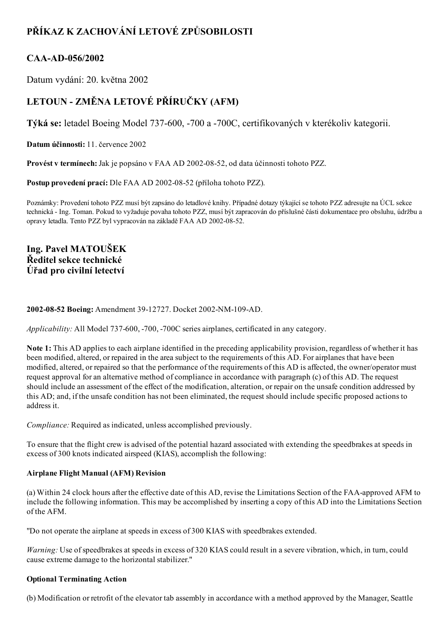# PŘÍKAZ K ZACHOVÁNÍ LETOVÉ ZPŮSOBILOSTI

### CAA-AD-056/2002

Datum vydání: 20. května 2002

# LETOUN - ZMĚNA LETOVÉ PŘÍRUČKY (AFM)

Týká se: letadel Boeing Model 737-600, -700 a -700C, certifikovaných v kterékoliv kategorii.

Datum účinnosti: 11. července 2002

Provést v termínech: Jak je popsáno v FAA AD 2002-08-52, od data účinnosti tohoto PZZ.

Postup provedení prací: Dle FAA AD 2002-08-52 (příloha tohoto PZZ).

Poznámky: Provedení tohoto PZZ musí být zapsáno do letadlové knihy. Případné dotazy týkající se tohoto PZZ adresujte na ÚCL sekce technická Ing. Toman. Pokud to vyžaduje povaha tohoto PZZ, musí být zapracován do příslušné části dokumentace pro obsluhu, údržbu a opravy letadla. Tento PZZ byl vypracován na základě FAA AD 2002-08-52.

Ing. Pavel MATOUŠEK Ředitel sekce technické Úřad pro civilní letectví

### 2002-08-52 Boeing: Amendment 39-12727. Docket 2002-NM-109-AD.

Applicability: All Model 737-600, -700, -700C series airplanes, certificated in any category.

Note 1: This AD applies to each airplane identified in the preceding applicability provision, regardless of whether it has been modified, altered, or repaired in the area subject to the requirements of this AD. For airplanes that have been modified, altered, or repaired so that the performance of the requirements of this AD is affected, the owner/operator must request approval for an alternative method of compliance in accordance with paragraph (c) of this AD. The request should include an assessment of the effect of the modification, alteration, or repair on the unsafe condition addressed by this AD; and, if the unsafe condition has not been eliminated, the request should include specific proposed actions to address it.

Compliance: Required as indicated, unless accomplished previously.

To ensure that the flight crew is advised of the potential hazard associated with extending the speedbrakes at speeds in excess of 300 knots indicated airspeed (KIAS), accomplish the following:

### Airplane Flight Manual (AFM) Revision

(a) Within 24 clock hours after the effective date of this AD, revise the Limitations Section of the FAAapproved AFM to include the following information. This may be accomplished by inserting a copy of this AD into the Limitations Section of the AFM.

"Do not operate the airplane at speeds in excess of 300 KIAS with speedbrakes extended.

Warning: Use of speedbrakes at speeds in excess of 320 KIAS could result in a severe vibration, which, in turn, could cause extreme damage to the horizontal stabilizer."

### Optional Terminating Action

(b) Modification or retrofit of the elevator tab assembly in accordance with a method approved by the Manager, Seattle